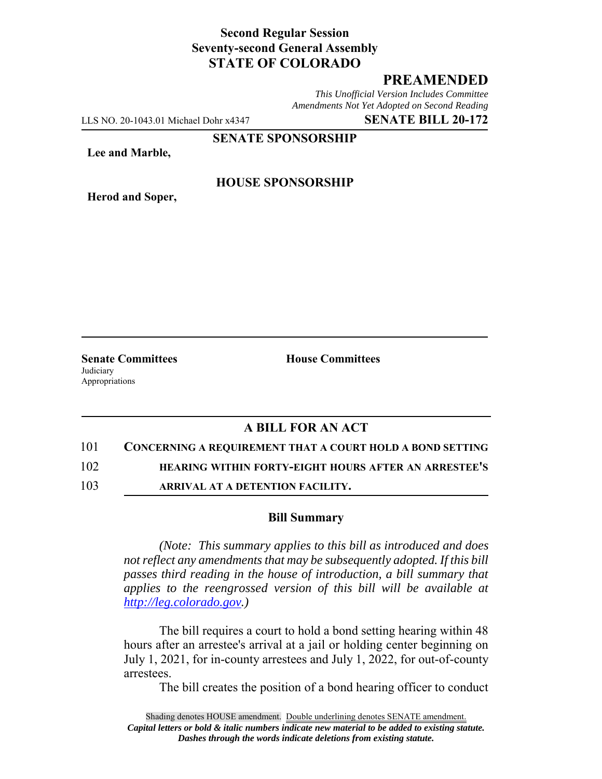### **Second Regular Session Seventy-second General Assembly STATE OF COLORADO**

# **PREAMENDED**

*This Unofficial Version Includes Committee Amendments Not Yet Adopted on Second Reading*

LLS NO. 20-1043.01 Michael Dohr x4347 **SENATE BILL 20-172**

**SENATE SPONSORSHIP**

**Lee and Marble,**

**Herod and Soper,**

**HOUSE SPONSORSHIP**

**Judiciary** Appropriations

**Senate Committees House Committees** 

# **A BILL FOR AN ACT**

### 101 **CONCERNING A REQUIREMENT THAT A COURT HOLD A BOND SETTING**

102 **HEARING WITHIN FORTY-EIGHT HOURS AFTER AN ARRESTEE'S**

103 **ARRIVAL AT A DETENTION FACILITY.**

### **Bill Summary**

*(Note: This summary applies to this bill as introduced and does not reflect any amendments that may be subsequently adopted. If this bill passes third reading in the house of introduction, a bill summary that applies to the reengrossed version of this bill will be available at http://leg.colorado.gov.)*

The bill requires a court to hold a bond setting hearing within 48 hours after an arrestee's arrival at a jail or holding center beginning on July 1, 2021, for in-county arrestees and July 1, 2022, for out-of-county arrestees.

The bill creates the position of a bond hearing officer to conduct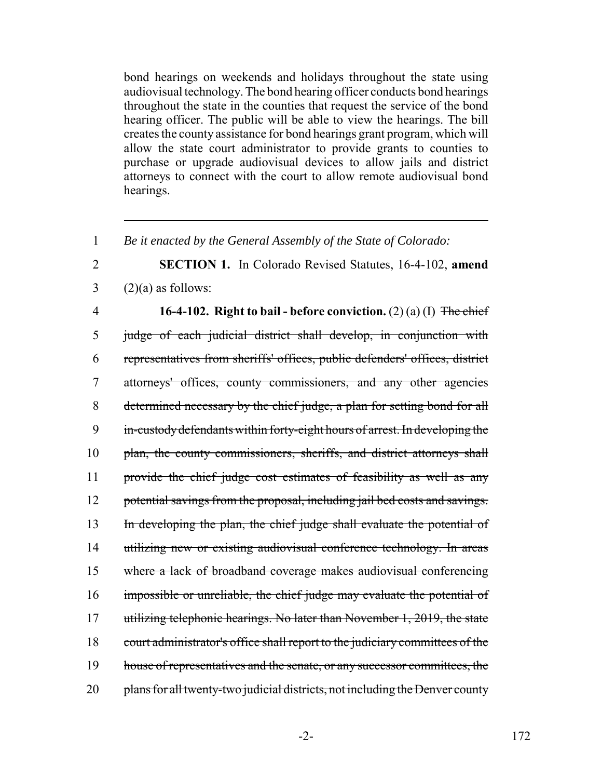bond hearings on weekends and holidays throughout the state using audiovisual technology. The bond hearing officer conducts bond hearings throughout the state in the counties that request the service of the bond hearing officer. The public will be able to view the hearings. The bill creates the county assistance for bond hearings grant program, which will allow the state court administrator to provide grants to counties to purchase or upgrade audiovisual devices to allow jails and district attorneys to connect with the court to allow remote audiovisual bond hearings.

1 *Be it enacted by the General Assembly of the State of Colorado:*

2 **SECTION 1.** In Colorado Revised Statutes, 16-4-102, **amend**  $3 \qquad (2)(a)$  as follows:

4 **16-4-102. Right to bail - before conviction.** (2) (a) (I) The chief 5 judge of each judicial district shall develop, in conjunction with 6 representatives from sheriffs' offices, public defenders' offices, district 7 attorneys' offices, county commissioners, and any other agencies 8 determined necessary by the chief judge, a plan for setting bond for all 9 in-custody defendants within forty-eight hours of arrest. In developing the 10 plan, the county commissioners, sheriffs, and district attorneys shall 11 provide the chief judge cost estimates of feasibility as well as any 12 potential savings from the proposal, including jail bed costs and savings. 13 In developing the plan, the chief judge shall evaluate the potential of 14 utilizing new or existing audiovisual conference technology. In areas 15 where a lack of broadband coverage makes audiovisual conferencing 16 impossible or unreliable, the chief judge may evaluate the potential of 17 utilizing telephonic hearings. No later than November 1, 2019, the state 18 court administrator's office shall report to the judiciary committees of the 19 house of representatives and the senate, or any successor committees, the 20 plans for all twenty-two judicial districts, not including the Denver county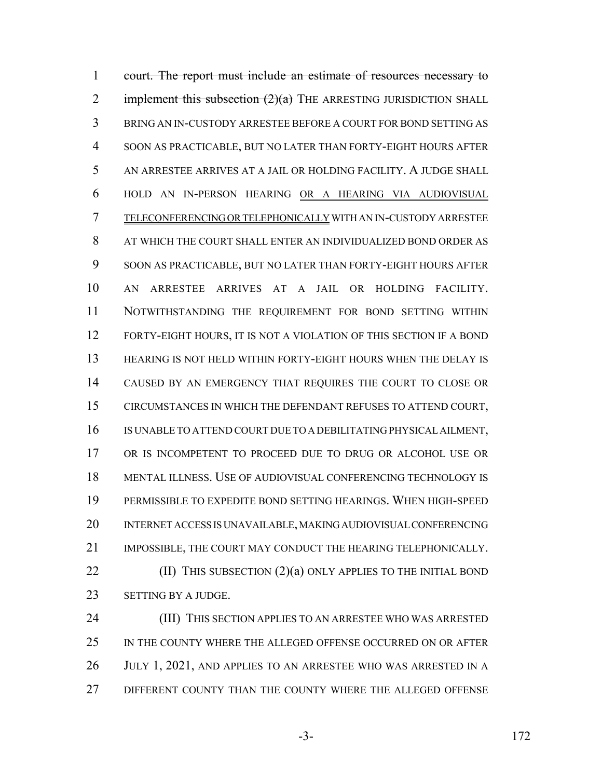court. The report must include an estimate of resources necessary to 2 implement this subsection  $(2)(a)$  THE ARRESTING JURISDICTION SHALL BRING AN IN-CUSTODY ARRESTEE BEFORE A COURT FOR BOND SETTING AS SOON AS PRACTICABLE, BUT NO LATER THAN FORTY-EIGHT HOURS AFTER AN ARRESTEE ARRIVES AT A JAIL OR HOLDING FACILITY. A JUDGE SHALL HOLD AN IN-PERSON HEARING OR A HEARING VIA AUDIOVISUAL TELECONFERENCING OR TELEPHONICALLY WITH AN IN-CUSTODY ARRESTEE AT WHICH THE COURT SHALL ENTER AN INDIVIDUALIZED BOND ORDER AS SOON AS PRACTICABLE, BUT NO LATER THAN FORTY-EIGHT HOURS AFTER AN ARRESTEE ARRIVES AT A JAIL OR HOLDING FACILITY. NOTWITHSTANDING THE REQUIREMENT FOR BOND SETTING WITHIN FORTY-EIGHT HOURS, IT IS NOT A VIOLATION OF THIS SECTION IF A BOND HEARING IS NOT HELD WITHIN FORTY-EIGHT HOURS WHEN THE DELAY IS CAUSED BY AN EMERGENCY THAT REQUIRES THE COURT TO CLOSE OR CIRCUMSTANCES IN WHICH THE DEFENDANT REFUSES TO ATTEND COURT, IS UNABLE TO ATTEND COURT DUE TO A DEBILITATING PHYSICAL AILMENT, OR IS INCOMPETENT TO PROCEED DUE TO DRUG OR ALCOHOL USE OR MENTAL ILLNESS. USE OF AUDIOVISUAL CONFERENCING TECHNOLOGY IS PERMISSIBLE TO EXPEDITE BOND SETTING HEARINGS. WHEN HIGH-SPEED INTERNET ACCESS IS UNAVAILABLE, MAKING AUDIOVISUAL CONFERENCING IMPOSSIBLE, THE COURT MAY CONDUCT THE HEARING TELEPHONICALLY. **(II) THIS SUBSECTION (2)(a) ONLY APPLIES TO THE INITIAL BOND** SETTING BY A JUDGE.

 (III) THIS SECTION APPLIES TO AN ARRESTEE WHO WAS ARRESTED IN THE COUNTY WHERE THE ALLEGED OFFENSE OCCURRED ON OR AFTER JULY 1, 2021, AND APPLIES TO AN ARRESTEE WHO WAS ARRESTED IN A 27 DIFFERENT COUNTY THAN THE COUNTY WHERE THE ALLEGED OFFENSE

-3- 172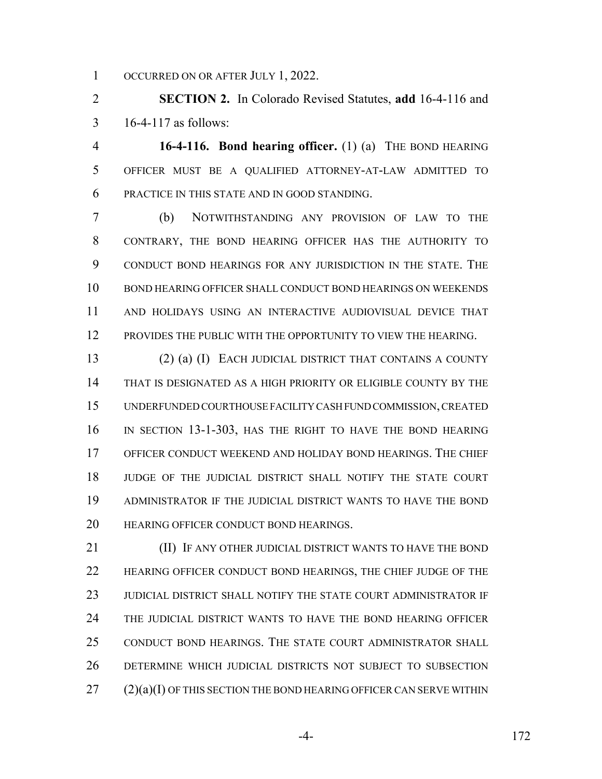1 OCCURRED ON OR AFTER JULY 1, 2022.

 **SECTION 2.** In Colorado Revised Statutes, **add** 16-4-116 and 16-4-117 as follows:

 **16-4-116. Bond hearing officer.** (1) (a) THE BOND HEARING OFFICER MUST BE A QUALIFIED ATTORNEY-AT-LAW ADMITTED TO PRACTICE IN THIS STATE AND IN GOOD STANDING.

 (b) NOTWITHSTANDING ANY PROVISION OF LAW TO THE CONTRARY, THE BOND HEARING OFFICER HAS THE AUTHORITY TO CONDUCT BOND HEARINGS FOR ANY JURISDICTION IN THE STATE. THE BOND HEARING OFFICER SHALL CONDUCT BOND HEARINGS ON WEEKENDS AND HOLIDAYS USING AN INTERACTIVE AUDIOVISUAL DEVICE THAT PROVIDES THE PUBLIC WITH THE OPPORTUNITY TO VIEW THE HEARING.

 (2) (a) (I) EACH JUDICIAL DISTRICT THAT CONTAINS A COUNTY THAT IS DESIGNATED AS A HIGH PRIORITY OR ELIGIBLE COUNTY BY THE UNDERFUNDED COURTHOUSE FACILITY CASH FUND COMMISSION, CREATED IN SECTION 13-1-303, HAS THE RIGHT TO HAVE THE BOND HEARING OFFICER CONDUCT WEEKEND AND HOLIDAY BOND HEARINGS. THE CHIEF JUDGE OF THE JUDICIAL DISTRICT SHALL NOTIFY THE STATE COURT ADMINISTRATOR IF THE JUDICIAL DISTRICT WANTS TO HAVE THE BOND HEARING OFFICER CONDUCT BOND HEARINGS.

**III)** IF ANY OTHER JUDICIAL DISTRICT WANTS TO HAVE THE BOND HEARING OFFICER CONDUCT BOND HEARINGS, THE CHIEF JUDGE OF THE JUDICIAL DISTRICT SHALL NOTIFY THE STATE COURT ADMINISTRATOR IF THE JUDICIAL DISTRICT WANTS TO HAVE THE BOND HEARING OFFICER CONDUCT BOND HEARINGS. THE STATE COURT ADMINISTRATOR SHALL DETERMINE WHICH JUDICIAL DISTRICTS NOT SUBJECT TO SUBSECTION (2)(a)(I) OF THIS SECTION THE BOND HEARING OFFICER CAN SERVE WITHIN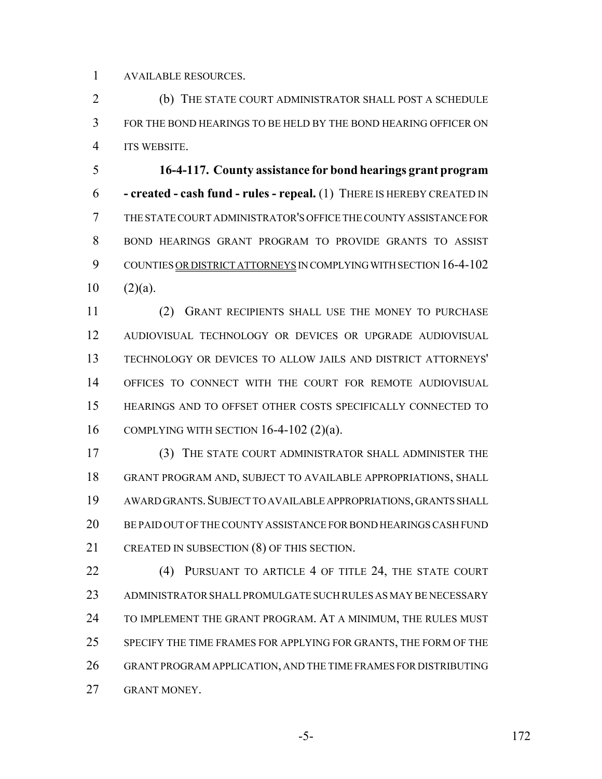AVAILABLE RESOURCES.

 (b) THE STATE COURT ADMINISTRATOR SHALL POST A SCHEDULE FOR THE BOND HEARINGS TO BE HELD BY THE BOND HEARING OFFICER ON ITS WEBSITE.

 **16-4-117. County assistance for bond hearings grant program - created - cash fund - rules - repeal.** (1) THERE IS HEREBY CREATED IN THE STATE COURT ADMINISTRATOR'S OFFICE THE COUNTY ASSISTANCE FOR BOND HEARINGS GRANT PROGRAM TO PROVIDE GRANTS TO ASSIST COUNTIES OR DISTRICT ATTORNEYS IN COMPLYING WITH SECTION 16-4-102  $10 \quad (2)(a)$ .

 (2) GRANT RECIPIENTS SHALL USE THE MONEY TO PURCHASE AUDIOVISUAL TECHNOLOGY OR DEVICES OR UPGRADE AUDIOVISUAL TECHNOLOGY OR DEVICES TO ALLOW JAILS AND DISTRICT ATTORNEYS' OFFICES TO CONNECT WITH THE COURT FOR REMOTE AUDIOVISUAL HEARINGS AND TO OFFSET OTHER COSTS SPECIFICALLY CONNECTED TO COMPLYING WITH SECTION 16-4-102 (2)(a).

 (3) THE STATE COURT ADMINISTRATOR SHALL ADMINISTER THE GRANT PROGRAM AND, SUBJECT TO AVAILABLE APPROPRIATIONS, SHALL AWARD GRANTS.SUBJECT TO AVAILABLE APPROPRIATIONS, GRANTS SHALL BE PAID OUT OF THE COUNTY ASSISTANCE FOR BOND HEARINGS CASH FUND CREATED IN SUBSECTION (8) OF THIS SECTION.

22 (4) PURSUANT TO ARTICLE 4 OF TITLE 24, THE STATE COURT ADMINISTRATOR SHALL PROMULGATE SUCH RULES AS MAY BE NECESSARY TO IMPLEMENT THE GRANT PROGRAM. AT A MINIMUM, THE RULES MUST SPECIFY THE TIME FRAMES FOR APPLYING FOR GRANTS, THE FORM OF THE GRANT PROGRAM APPLICATION, AND THE TIME FRAMES FOR DISTRIBUTING GRANT MONEY.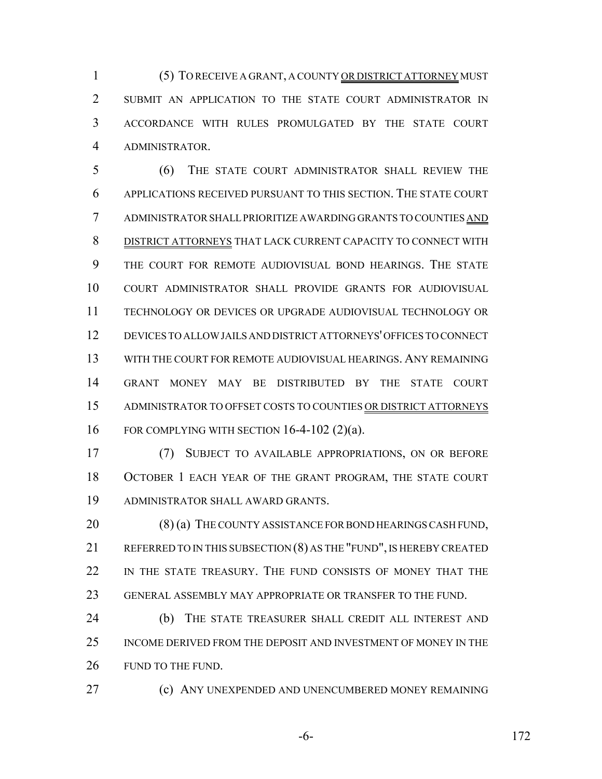(5) TO RECEIVE A GRANT, A COUNTY OR DISTRICT ATTORNEY MUST SUBMIT AN APPLICATION TO THE STATE COURT ADMINISTRATOR IN ACCORDANCE WITH RULES PROMULGATED BY THE STATE COURT ADMINISTRATOR.

 (6) THE STATE COURT ADMINISTRATOR SHALL REVIEW THE APPLICATIONS RECEIVED PURSUANT TO THIS SECTION. THE STATE COURT ADMINISTRATOR SHALL PRIORITIZE AWARDING GRANTS TO COUNTIES AND DISTRICT ATTORNEYS THAT LACK CURRENT CAPACITY TO CONNECT WITH THE COURT FOR REMOTE AUDIOVISUAL BOND HEARINGS. THE STATE COURT ADMINISTRATOR SHALL PROVIDE GRANTS FOR AUDIOVISUAL TECHNOLOGY OR DEVICES OR UPGRADE AUDIOVISUAL TECHNOLOGY OR DEVICES TO ALLOW JAILS AND DISTRICT ATTORNEYS' OFFICES TO CONNECT WITH THE COURT FOR REMOTE AUDIOVISUAL HEARINGS. ANY REMAINING GRANT MONEY MAY BE DISTRIBUTED BY THE STATE COURT ADMINISTRATOR TO OFFSET COSTS TO COUNTIES OR DISTRICT ATTORNEYS FOR COMPLYING WITH SECTION 16-4-102 (2)(a).

 (7) SUBJECT TO AVAILABLE APPROPRIATIONS, ON OR BEFORE OCTOBER 1 EACH YEAR OF THE GRANT PROGRAM, THE STATE COURT ADMINISTRATOR SHALL AWARD GRANTS.

20 (8) (a) THE COUNTY ASSISTANCE FOR BOND HEARINGS CASH FUND, 21 REFERRED TO IN THIS SUBSECTION (8) AS THE "FUND", IS HEREBY CREATED IN THE STATE TREASURY. THE FUND CONSISTS OF MONEY THAT THE GENERAL ASSEMBLY MAY APPROPRIATE OR TRANSFER TO THE FUND.

24 (b) THE STATE TREASURER SHALL CREDIT ALL INTEREST AND INCOME DERIVED FROM THE DEPOSIT AND INVESTMENT OF MONEY IN THE 26 FUND TO THE FUND.

(c) ANY UNEXPENDED AND UNENCUMBERED MONEY REMAINING

-6- 172